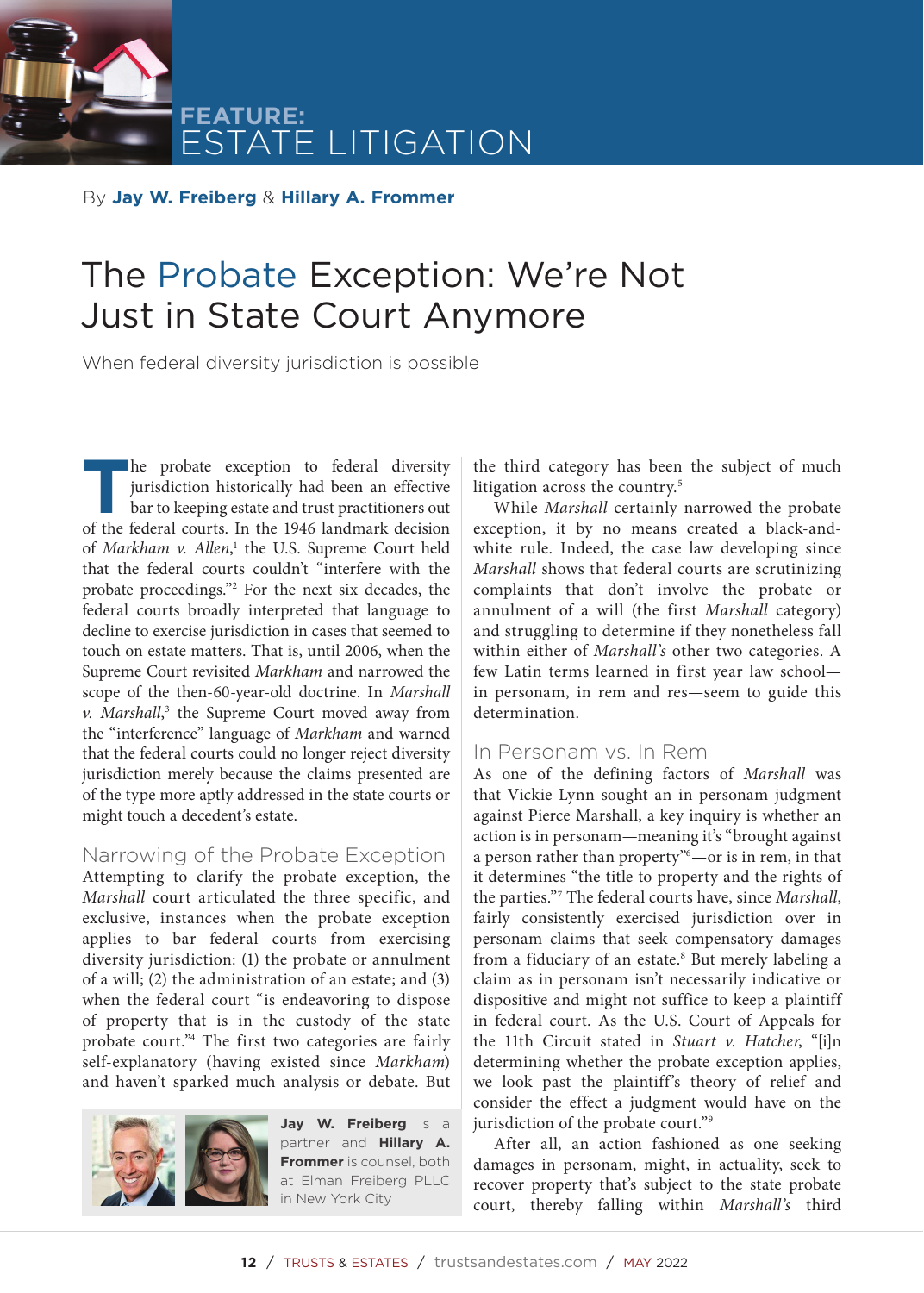**FEATURE:** E LITIGATION

By **Jay W. Freiberg** & **Hillary A. Frommer**

# The Probate Exception: We're Not Just in State Court Anymore

When federal diversity jurisdiction is possible

**T**he probate exception to federal diversity jurisdiction historically had been an effective bar to keeping estate and trust practitioners out of the federal courts. In the 1946 landmark decision of Markham v. Allen,<sup>1</sup> the U.S. Supreme Court held that the federal courts couldn't "interfere with the probate proceedings."2 For the next six decades, the federal courts broadly interpreted that language to decline to exercise jurisdiction in cases that seemed to touch on estate matters. That is, until 2006, when the Supreme Court revisited *Markham* and narrowed the scope of the then-60-year-old doctrine. In *Marshall*  v. Marshall,<sup>3</sup> the Supreme Court moved away from the "interference" language of *Markham* and warned that the federal courts could no longer reject diversity jurisdiction merely because the claims presented are of the type more aptly addressed in the state courts or might touch a decedent's estate.

#### Narrowing of the Probate Exception

Attempting to clarify the probate exception, the *Marshall* court articulated the three specific, and exclusive, instances when the probate exception applies to bar federal courts from exercising diversity jurisdiction: (1) the probate or annulment of a will; (2) the administration of an estate; and (3) when the federal court "is endeavoring to dispose of property that is in the custody of the state probate court."4 The first two categories are fairly self-explanatory (having existed since *Markham*) and haven't sparked much analysis or debate. But



**Jay W. Freiberg** is a partner and **Hillary A. Frommer** is counsel, both at Elman Freiberg PLLC in New York City

the third category has been the subject of much litigation across the country.<sup>5</sup>

While *Marshall* certainly narrowed the probate exception, it by no means created a black-andwhite rule. Indeed, the case law developing since *Marshall* shows that federal courts are scrutinizing complaints that don't involve the probate or annulment of a will (the first *Marshall* category) and struggling to determine if they nonetheless fall within either of *Marshall's* other two categories. A few Latin terms learned in first year law school in personam, in rem and res—seem to guide this determination.

#### In Personam vs. In Rem

As one of the defining factors of *Marshall* was that Vickie Lynn sought an in personam judgment against Pierce Marshall, a key inquiry is whether an action is in personam—meaning it's "brought against a person rather than property"6 —or is in rem, in that it determines "the title to property and the rights of the parties."7 The federal courts have, since *Marshall*, fairly consistently exercised jurisdiction over in personam claims that seek compensatory damages from a fiduciary of an estate.<sup>8</sup> But merely labeling a claim as in personam isn't necessarily indicative or dispositive and might not suffice to keep a plaintiff in federal court. As the U.S. Court of Appeals for the 11th Circuit stated in *Stuart v. Hatcher*, "[i]n determining whether the probate exception applies, we look past the plaintiff's theory of relief and consider the effect a judgment would have on the jurisdiction of the probate court."9

After all, an action fashioned as one seeking damages in personam, might, in actuality, seek to recover property that's subject to the state probate court, thereby falling within *Marshall's* third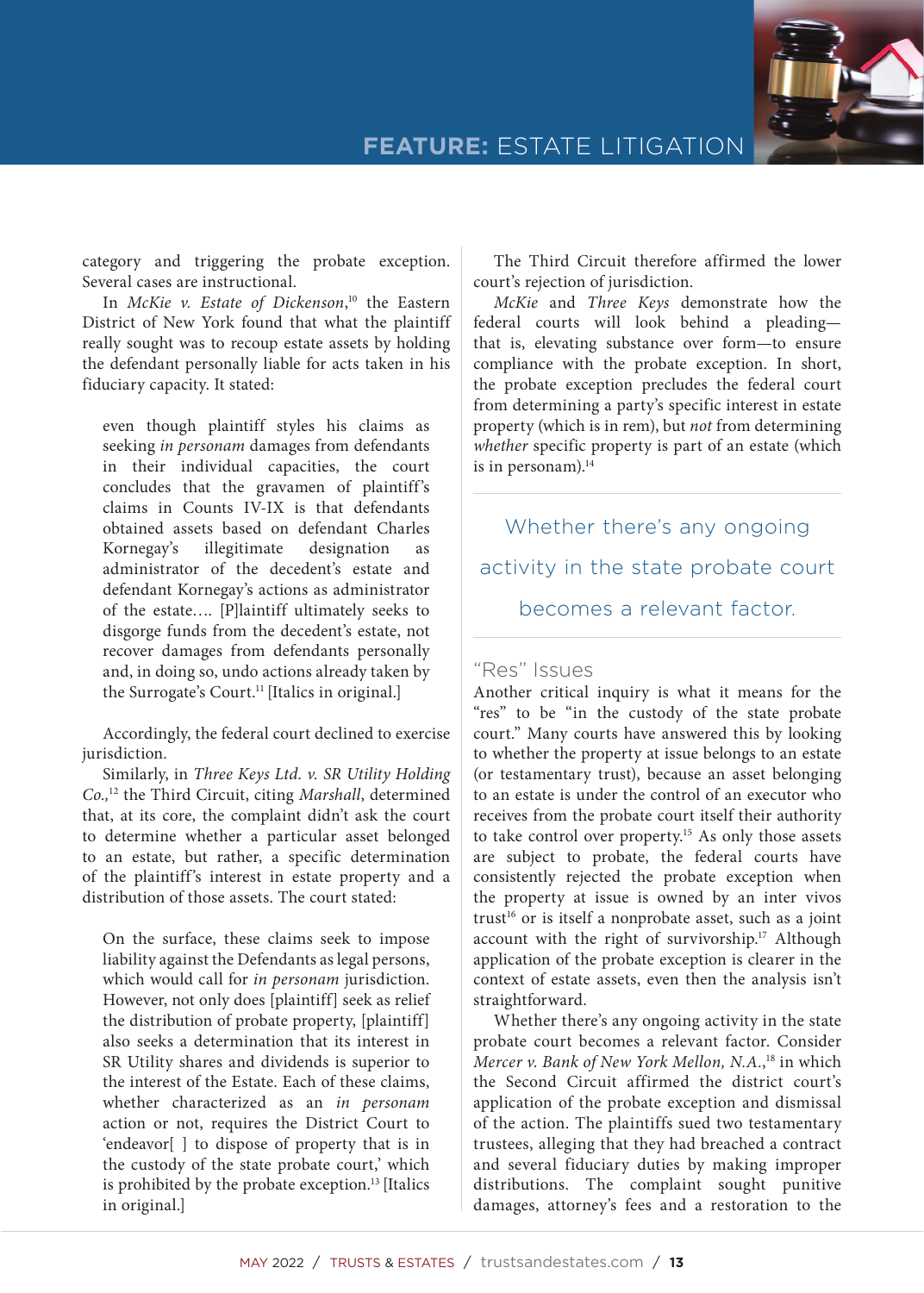

category and triggering the probate exception. Several cases are instructional.

In *McKie v. Estate of Dickenson*, <sup>10</sup> the Eastern District of New York found that what the plaintiff really sought was to recoup estate assets by holding the defendant personally liable for acts taken in his fiduciary capacity. It stated:

even though plaintiff styles his claims as seeking *in personam* damages from defendants in their individual capacities, the court concludes that the gravamen of plaintiff's claims in Counts IV-IX is that defendants obtained assets based on defendant Charles Kornegay's illegitimate designation as administrator of the decedent's estate and defendant Kornegay's actions as administrator of the estate…. [P]laintiff ultimately seeks to disgorge funds from the decedent's estate, not recover damages from defendants personally and, in doing so, undo actions already taken by the Surrogate's Court.<sup>11</sup> [Italics in original.]

Accordingly, the federal court declined to exercise jurisdiction.

Similarly, in *Three Keys Ltd. v. SR Utility Holding Co.,*12 the Third Circuit, citing *Marshall*, determined that, at its core, the complaint didn't ask the court to determine whether a particular asset belonged to an estate, but rather, a specific determination of the plaintiff's interest in estate property and a distribution of those assets. The court stated:

On the surface, these claims seek to impose liability against the Defendants as legal persons, which would call for *in personam* jurisdiction. However, not only does [plaintiff] seek as relief the distribution of probate property, [plaintiff] also seeks a determination that its interest in SR Utility shares and dividends is superior to the interest of the Estate. Each of these claims, whether characterized as an *in personam* action or not, requires the District Court to 'endeavor[ ] to dispose of property that is in the custody of the state probate court,' which is prohibited by the probate exception.<sup>13</sup> [Italics in original.]

The Third Circuit therefore affirmed the lower court's rejection of jurisdiction.

*McKie* and *Three Keys* demonstrate how the federal courts will look behind a pleading that is, elevating substance over form—to ensure compliance with the probate exception. In short, the probate exception precludes the federal court from determining a party's specific interest in estate property (which is in rem), but *not* from determining *whether* specific property is part of an estate (which is in personam). $14$ 

Whether there's any ongoing activity in the state probate court becomes a relevant factor.

### "Res" Issues

Another critical inquiry is what it means for the "res" to be "in the custody of the state probate court." Many courts have answered this by looking to whether the property at issue belongs to an estate (or testamentary trust), because an asset belonging to an estate is under the control of an executor who receives from the probate court itself their authority to take control over property.<sup>15</sup> As only those assets are subject to probate, the federal courts have consistently rejected the probate exception when the property at issue is owned by an inter vivos trust<sup>16</sup> or is itself a nonprobate asset, such as a joint account with the right of survivorship.<sup>17</sup> Although application of the probate exception is clearer in the context of estate assets, even then the analysis isn't straightforward.

Whether there's any ongoing activity in the state probate court becomes a relevant factor. Consider *Mercer v. Bank of New York Mellon, N.A.*, 18 in which the Second Circuit affirmed the district court's application of the probate exception and dismissal of the action. The plaintiffs sued two testamentary trustees, alleging that they had breached a contract and several fiduciary duties by making improper distributions. The complaint sought punitive damages, attorney's fees and a restoration to the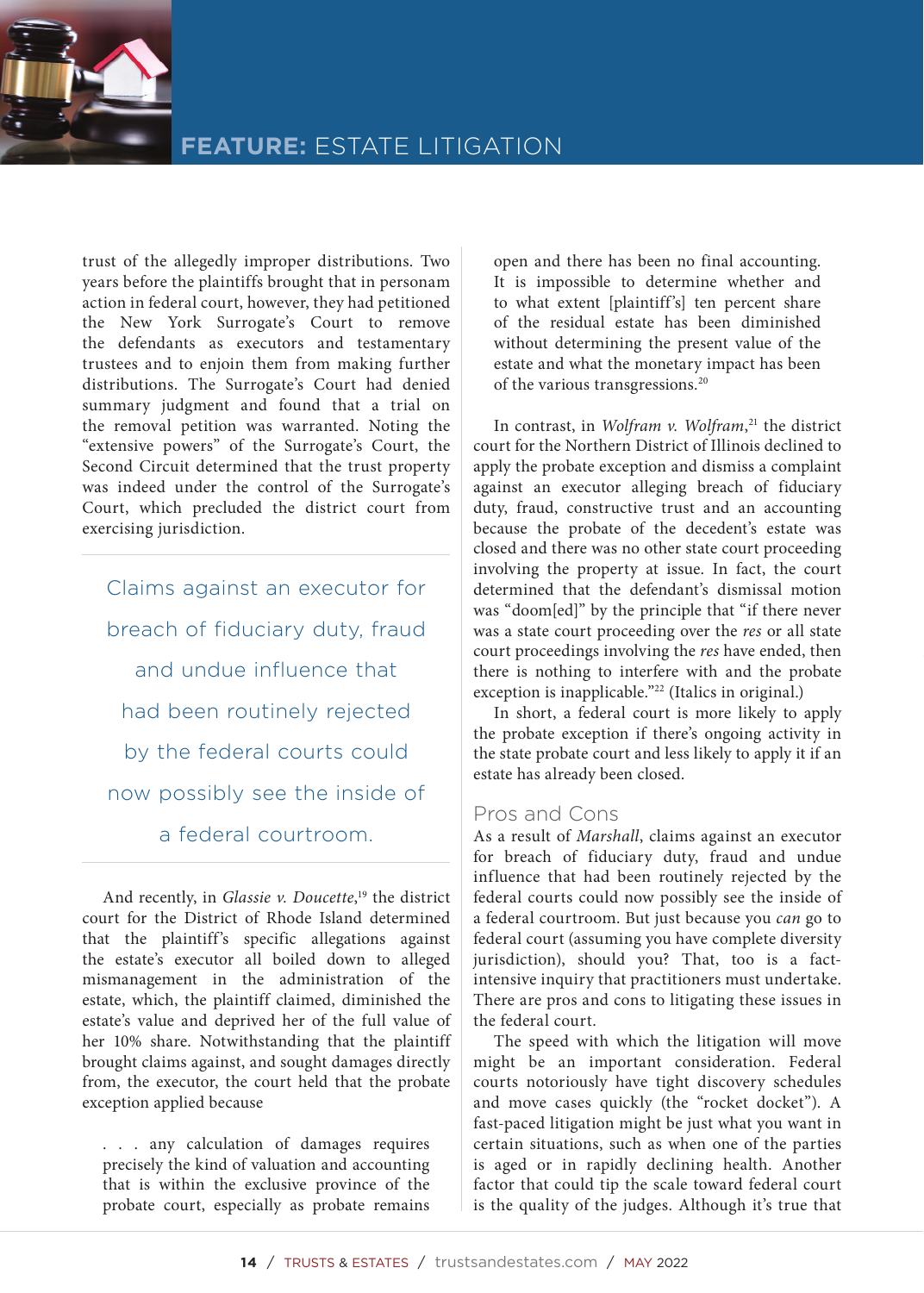

trust of the allegedly improper distributions. Two years before the plaintiffs brought that in personam action in federal court, however, they had petitioned the New York Surrogate's Court to remove the defendants as executors and testamentary trustees and to enjoin them from making further distributions. The Surrogate's Court had denied summary judgment and found that a trial on the removal petition was warranted. Noting the "extensive powers" of the Surrogate's Court, the Second Circuit determined that the trust property was indeed under the control of the Surrogate's Court, which precluded the district court from exercising jurisdiction.

Claims against an executor for breach of fiduciary duty, fraud and undue influence that had been routinely rejected by the federal courts could now possibly see the inside of a federal courtroom.

And recently, in *Glassie v. Doucette*, 19 the district court for the District of Rhode Island determined that the plaintiff's specific allegations against the estate's executor all boiled down to alleged mismanagement in the administration of the estate, which, the plaintiff claimed, diminished the estate's value and deprived her of the full value of her 10% share. Notwithstanding that the plaintiff brought claims against, and sought damages directly from, the executor, the court held that the probate exception applied because

. . . any calculation of damages requires precisely the kind of valuation and accounting that is within the exclusive province of the probate court, especially as probate remains open and there has been no final accounting. It is impossible to determine whether and to what extent [plaintiff's] ten percent share of the residual estate has been diminished without determining the present value of the estate and what the monetary impact has been of the various transgressions.20

In contrast, in *Wolfram v. Wolfram*, 21 the district court for the Northern District of Illinois declined to apply the probate exception and dismiss a complaint against an executor alleging breach of fiduciary duty, fraud, constructive trust and an accounting because the probate of the decedent's estate was closed and there was no other state court proceeding involving the property at issue. In fact, the court determined that the defendant's dismissal motion was "doom[ed]" by the principle that "if there never was a state court proceeding over the *res* or all state court proceedings involving the *res* have ended, then there is nothing to interfere with and the probate exception is inapplicable."<sup>22</sup> (Italics in original.)

In short, a federal court is more likely to apply the probate exception if there's ongoing activity in the state probate court and less likely to apply it if an estate has already been closed.

## Pros and Cons

As a result of *Marshall*, claims against an executor for breach of fiduciary duty, fraud and undue influence that had been routinely rejected by the federal courts could now possibly see the inside of a federal courtroom. But just because you *can* go to federal court (assuming you have complete diversity jurisdiction), should you? That, too is a factintensive inquiry that practitioners must undertake. There are pros and cons to litigating these issues in the federal court.

The speed with which the litigation will move might be an important consideration. Federal courts notoriously have tight discovery schedules and move cases quickly (the "rocket docket"). A fast-paced litigation might be just what you want in certain situations, such as when one of the parties is aged or in rapidly declining health. Another factor that could tip the scale toward federal court is the quality of the judges. Although it's true that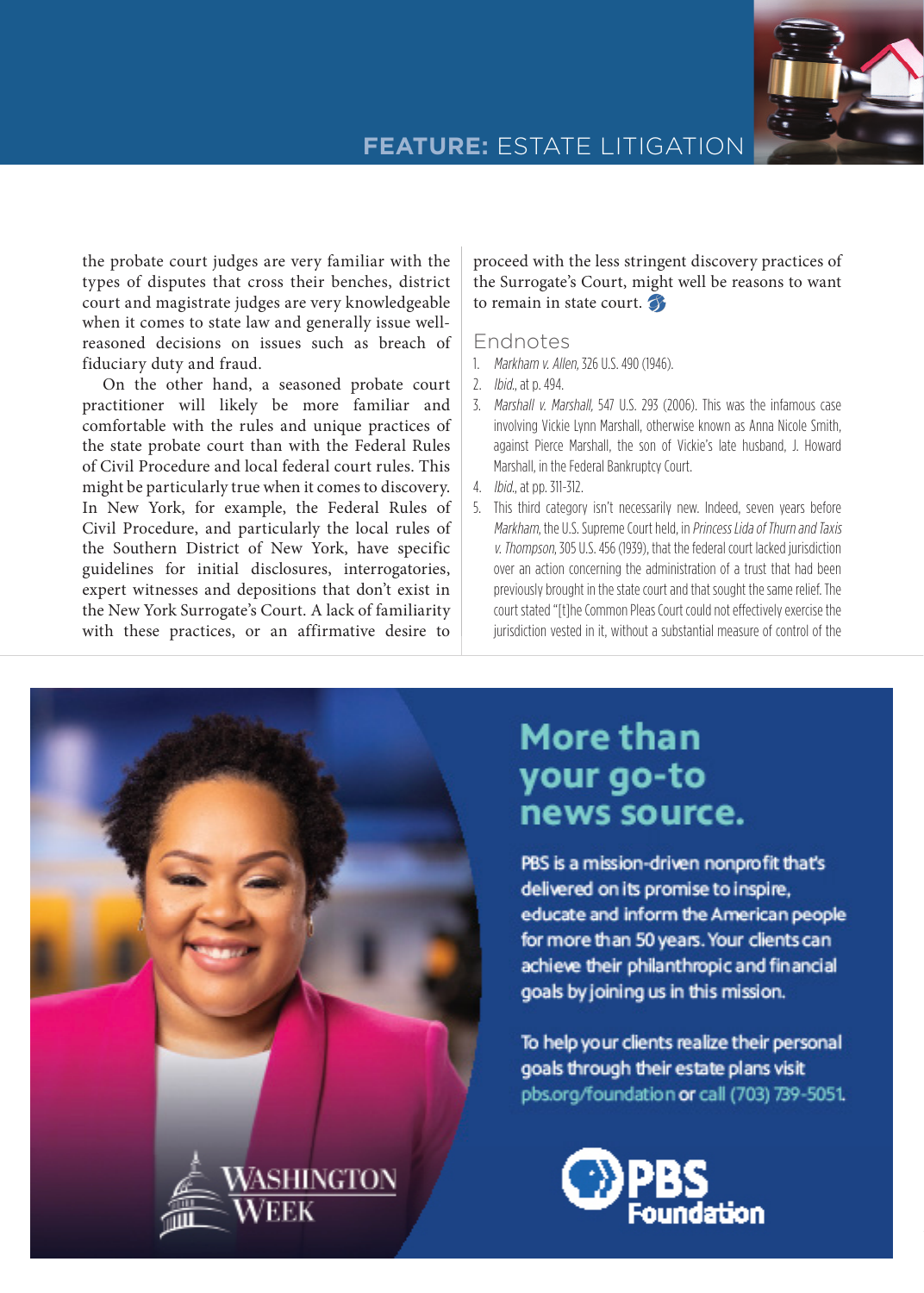

## **FEATURE:** ESTATE LITIGATION

the probate court judges are very familiar with the types of disputes that cross their benches, district court and magistrate judges are very knowledgeable when it comes to state law and generally issue wellreasoned decisions on issues such as breach of fiduciary duty and fraud.

On the other hand, a seasoned probate court practitioner will likely be more familiar and comfortable with the rules and unique practices of the state probate court than with the Federal Rules of Civil Procedure and local federal court rules. This might be particularly true when it comes to discovery. In New York, for example, the Federal Rules of Civil Procedure, and particularly the local rules of the Southern District of New York, have specific guidelines for initial disclosures, interrogatories, expert witnesses and depositions that don't exist in the New York Surrogate's Court. A lack of familiarity with these practices, or an affirmative desire to

proceed with the less stringent discovery practices of the Surrogate's Court, might well be reasons to want to remain in state court.

### Endnotes

- 1. Markham v. Allen, 326 U.S. 490 (1946).
- 2. Ibid., at p. 494.
- 3. Marshall v. Marshall, 547 U.S. 293 (2006). This was the infamous case involving Vickie Lynn Marshall, otherwise known as Anna Nicole Smith, against Pierce Marshall, the son of Vickie's late husband, J. Howard Marshall, in the Federal Bankruptcy Court.
- 4. Ibid., at pp. 311-312.
- 5. This third category isn't necessarily new. Indeed, seven years before Markham, the U.S. Supreme Court held, in Princess Lida of Thurn and Taxis v. Thompson, 305 U.S. 456 (1939), that the federal court lacked jurisdiction over an action concerning the administration of a trust that had been previously brought in the state court and that sought the same relief. The court stated "[t]he Common Pleas Court could not effectively exercise the jurisdiction vested in it, without a substantial measure of control of the

# **More than** your go-to news source.

PBS is a mission-driven nonprofit that's delivered on its promise to inspire, educate and inform the American people for more than 50 years. Your clients can achieve their philanthropic and financial goals by joining us in this mission.

To help your clients realize their personal goals through their estate plans visit pbs.org/foundation or call (703) 739-5051.



MAY 2022 / TRUSTS & ESTATES / trustsandestates.com / **15**

**WASHINGTON**